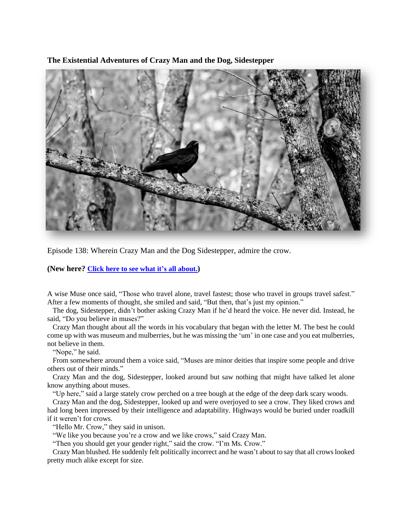**The Existential Adventures of Crazy Man and the Dog, Sidestepper**



Episode 138: Wherein Crazy Man and the Dog Sidestepper, admire the crow.

**(New here? Click here to see what it's all [about.](https://biffmitchell.com/crazy-man))** 

A wise Muse once said, "Those who travel alone, travel fastest; those who travel in groups travel safest." After a few moments of thought, she smiled and said, "But then, that's just my opinion."

 The dog, Sidestepper, didn't bother asking Crazy Man if he'd heard the voice. He never did. Instead, he said, "Do you believe in muses?"

 Crazy Man thought about all the words in his vocabulary that began with the letter M. The best he could come up with was museum and mulberries, but he was missing the 'um' in one case and you eat mulberries, not believe in them.

"Nope," he said.

 From somewhere around them a voice said, "Muses are minor deities that inspire some people and drive others out of their minds."

 Crazy Man and the dog, Sidestepper, looked around but saw nothing that might have talked let alone know anything about muses.

"Up here," said a large stately crow perched on a tree bough at the edge of the deep dark scary woods.

 Crazy Man and the dog, Sidestepper, looked up and were overjoyed to see a crow. They liked crows and had long been impressed by their intelligence and adaptability. Highways would be buried under roadkill if it weren't for crows.

"Hello Mr. Crow," they said in unison.

"We like you because you're a crow and we like crows," said Crazy Man.

"Then you should get your gender right," said the crow. "I'm Ms. Crow."

 Crazy Man blushed. He suddenly felt politically incorrect and he wasn't about to say that all crows looked pretty much alike except for size.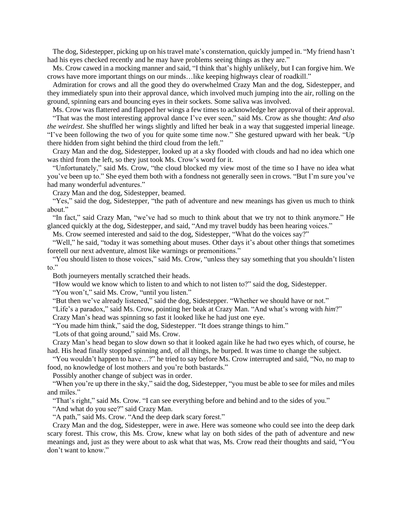The dog, Sidestepper, picking up on his travel mate's consternation, quickly jumped in. "My friend hasn't had his eyes checked recently and he may have problems seeing things as they are."

 Ms. Crow cawed in a mocking manner and said, "I think that's highly unlikely, but I can forgive him. We crows have more important things on our minds…like keeping highways clear of roadkill."

 Admiration for crows and all the good they do overwhelmed Crazy Man and the dog, Sidestepper, and they immediately spun into their approval dance, which involved much jumping into the air, rolling on the ground, spinning ears and bouncing eyes in their sockets. Some saliva was involved.

Ms. Crow was flattered and flapped her wings a few times to acknowledge her approval of their approval. "That was the most interesting approval dance I've ever seen," said Ms. Crow as she thought: *And also the weirdest*. She shuffled her wings slightly and lifted her beak in a way that suggested imperial lineage. "I've been following the two of you for quite some time now." She gestured upward with her beak. "Up there hidden from sight behind the third cloud from the left."

 Crazy Man and the dog, Sidestepper, looked up at a sky flooded with clouds and had no idea which one was third from the left, so they just took Ms. Crow's word for it.

 "Unfortunately," said Ms. Crow, "the cloud blocked my view most of the time so I have no idea what you've been up to." She eyed them both with a fondness not generally seen in crows. "But I'm sure you've had many wonderful adventures."

Crazy Man and the dog, Sidestepper, beamed.

"Yes," said the dog, Sidestepper, "the path of adventure and new meanings has given us much to think about."

 "In fact," said Crazy Man, "we've had so much to think about that we try not to think anymore." He glanced quickly at the dog, Sidestepper, and said, "And my travel buddy has been hearing voices."

Ms. Crow seemed interested and said to the dog, Sidestepper, "What do the voices say?"

 "Well," he said, "today it was something about muses. Other days it's about other things that sometimes foretell our next adventure, almost like warnings or premonitions."

 "You should listen to those voices," said Ms. Crow, "unless they say something that you shouldn't listen to."

Both journeyers mentally scratched their heads.

"How would we know which to listen to and which to not listen to?" said the dog, Sidestepper.

"You won't," said Ms. Crow, "until you listen."

"But then we've already listened," said the dog, Sidestepper. "Whether we should have or not."

 "Life's a paradox," said Ms. Crow, pointing her beak at Crazy Man. "And what's wrong with *him*?" Crazy Man's head was spinning so fast it looked like he had just one eye.

"You made him think," said the dog, Sidestepper. "It does strange things to him."

"Lots of that going around," said Ms. Crow.

 Crazy Man's head began to slow down so that it looked again like he had two eyes which, of course, he had. His head finally stopped spinning and, of all things, he burped. It was time to change the subject.

 "You wouldn't happen to have…?" he tried to say before Ms. Crow interrupted and said, "No, no map to food, no knowledge of lost mothers and you're both bastards."

Possibly another change of subject was in order.

 "When you're up there in the sky," said the dog, Sidestepper, "you must be able to see for miles and miles and miles."

"That's right," said Ms. Crow. "I can see everything before and behind and to the sides of you."

"And what do you see?" said Crazy Man.

"A path," said Ms. Crow. "And the deep dark scary forest."

 Crazy Man and the dog, Sidestepper, were in awe. Here was someone who could see into the deep dark scary forest. This crow, this Ms. Crow, knew what lay on both sides of the path of adventure and new meanings and, just as they were about to ask what that was, Ms. Crow read their thoughts and said, "You don't want to know."